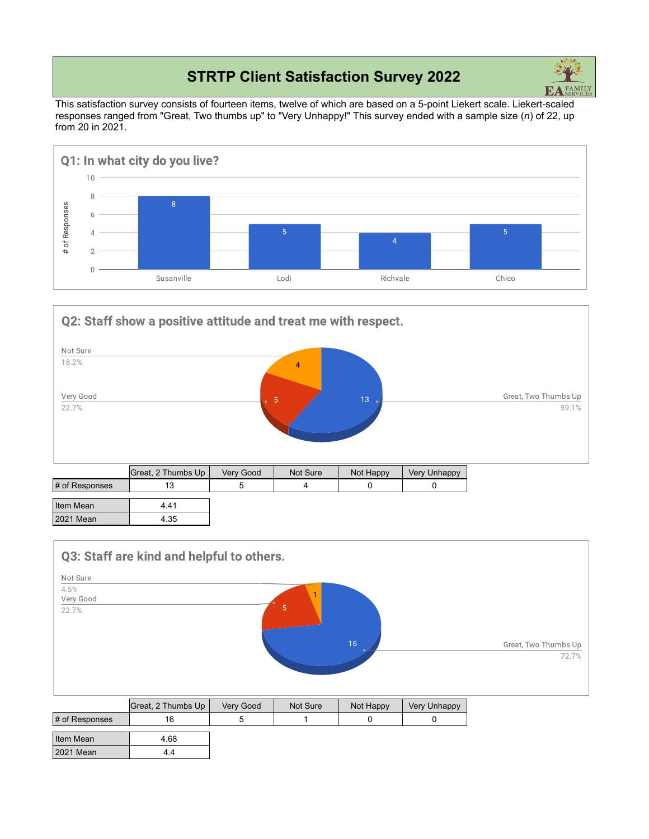## **STRTP Client Satisfaction Survey 2022**



This satisfaction survey consists of fourteen items, twelve of which are based on a 5-point Liekert scale. Liekert-scaled responses ranged from "Great, Two thumbs up" to "Very Unhappy!" This survey ended with a sample size (*n*) of 22, up from 20 in 2021.



Q2: Staff show a positive attitude and treat me with respect.



|                | Great, 2 Thumbs Up | Verv Good | Not Sure | Not Happy | Very Unhappy |
|----------------|--------------------|-----------|----------|-----------|--------------|
| # of Responses |                    |           |          |           |              |
| Item Mean      | 4.41               |           |          |           |              |
| 2021 Mean      | 4.35               |           |          |           |              |



|                   | Great, 2 Thumbs Up | Very Good | Not Sure | Not Happy | Very Unhappy |
|-------------------|--------------------|-----------|----------|-----------|--------------|
| $\#$ of Responses | 16                 |           |          |           |              |
| Item Mean         | 4.68               |           |          |           |              |
| 2021 Mean         | 4.4                |           |          |           |              |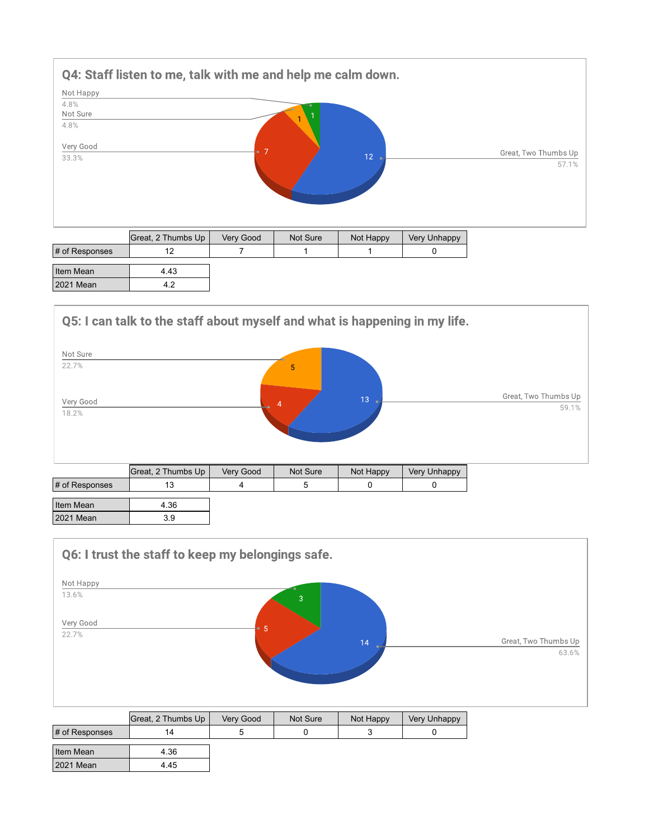

| Htem Mean |  |
|-----------|--|
| 2021 Mean |  |

## Q5: I can talk to the staff about myself and what is happening in my life.



|                       | <b>UICAL 4 THUILIUS UP</b> | <b>VEIV OUUU</b> | $NUL$ ould | <b>INULTRAPPY</b> | <b>VELY UTTRAPPY</b> |
|-----------------------|----------------------------|------------------|------------|-------------------|----------------------|
| $\sharp$ of Responses |                            |                  |            |                   |                      |
|                       |                            |                  |            |                   |                      |
| Item Mean             | 4.36                       |                  |            |                   |                      |
| 2021 Mean             | 3.9                        |                  |            |                   |                      |
|                       |                            |                  |            |                   |                      |

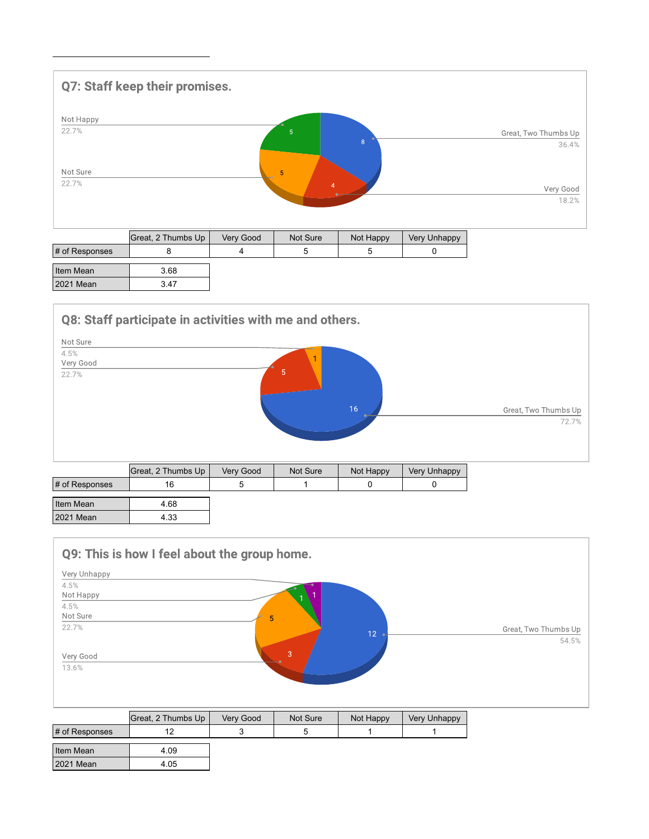

|                | Great, 2 Thumbs Up | Verv Good | Not Sure | Not Happy | Very Unhappy |
|----------------|--------------------|-----------|----------|-----------|--------------|
| # of Responses |                    |           |          |           |              |
| Item Mean      | 3.68               |           |          |           |              |
| 2021 Mean      | 3.47               |           |          |           |              |

Q8: Staff participate in activities with me and others.



|                | Great, 2 Thumbs Up | Very Good | Not Sure | Not Happy | <b>Very Unhappy</b> |
|----------------|--------------------|-----------|----------|-----------|---------------------|
| # of Responses | 16                 |           |          |           |                     |
| Item Mean      | 4.68               |           |          |           |                     |
| 2021 Mean      | 4.33               |           |          |           |                     |



|                   | Great, 2 Thumbs Up | Very Good | Not Sure | Not Happy | <b>Very Unhappy</b> |
|-------------------|--------------------|-----------|----------|-----------|---------------------|
| $\#$ of Responses |                    |           |          |           |                     |
| Item Mean         | 4.09               |           |          |           |                     |
| 2021 Mean         | 4.05               |           |          |           |                     |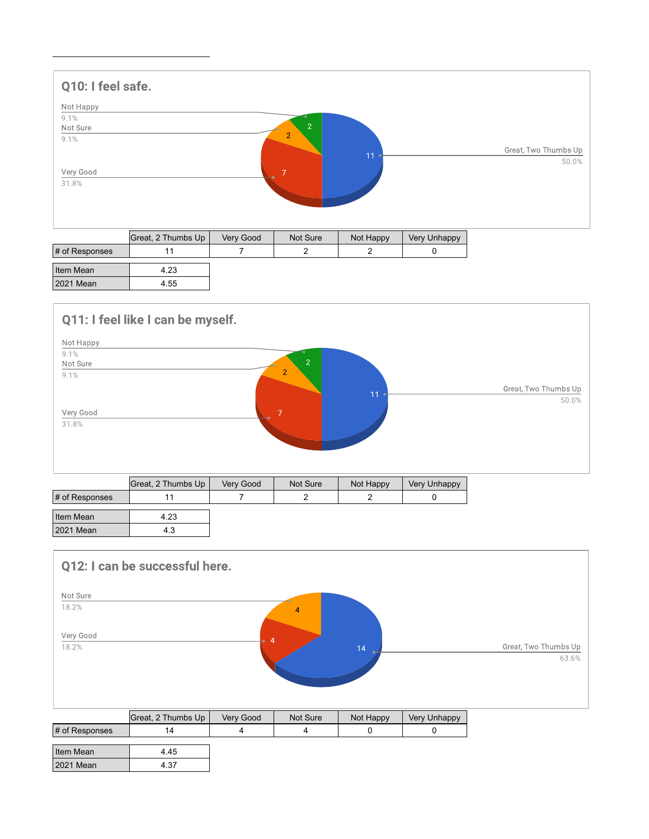

|                | Great, 2 Thumbs Up | Very Good | Not Sure | Not Happy | . Very Unhappy |
|----------------|--------------------|-----------|----------|-----------|----------------|
| # of Responses |                    |           |          |           |                |
| Item Mean      | 4.23               |           |          |           |                |
| 2021 Mean      | 4.55               |           |          |           |                |

## Q11: I feel like I can be myself.



| Item Mean | 4.23 |  |  |
|-----------|------|--|--|
| 2021 Mean | د.4  |  |  |

## Q12: I can be successful here. Not Sure 18.2%  $\overline{4}$ Very Good 18.2% Great, Two Thumbs Up 63.6%

|                       | Great, 2 Thumbs Up | Very Good | Not Sure | Not Happy | Very Unhappy |
|-----------------------|--------------------|-----------|----------|-----------|--------------|
| $\sharp$ of Responses | 14                 |           |          |           |              |
|                       |                    |           |          |           |              |
| Item Mean             | 4.45               |           |          |           |              |
| 2021 Mean             | 4.37               |           |          |           |              |